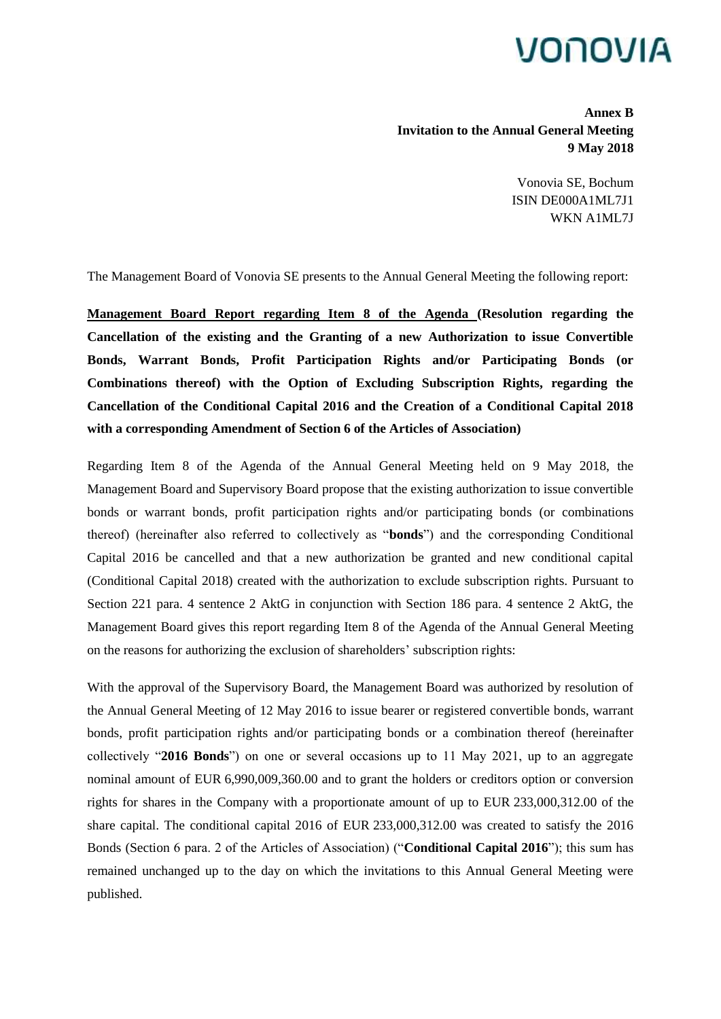## VONOVIA

**Annex B Invitation to the Annual General Meeting 9 May 2018**

> Vonovia SE, Bochum ISIN DE000A1ML7J1 WKN A1ML7J

The Management Board of Vonovia SE presents to the Annual General Meeting the following report:

**Management Board Report regarding Item 8 of the Agenda (Resolution regarding the Cancellation of the existing and the Granting of a new Authorization to issue Convertible Bonds, Warrant Bonds, Profit Participation Rights and/or Participating Bonds (or Combinations thereof) with the Option of Excluding Subscription Rights, regarding the Cancellation of the Conditional Capital 2016 and the Creation of a Conditional Capital 2018 with a corresponding Amendment of Section 6 of the Articles of Association)**

Regarding Item 8 of the Agenda of the Annual General Meeting held on 9 May 2018, the Management Board and Supervisory Board propose that the existing authorization to issue convertible bonds or warrant bonds, profit participation rights and/or participating bonds (or combinations thereof) (hereinafter also referred to collectively as "**bonds**") and the corresponding Conditional Capital 2016 be cancelled and that a new authorization be granted and new conditional capital (Conditional Capital 2018) created with the authorization to exclude subscription rights. Pursuant to Section 221 para. 4 sentence 2 AktG in conjunction with Section 186 para. 4 sentence 2 AktG, the Management Board gives this report regarding Item 8 of the Agenda of the Annual General Meeting on the reasons for authorizing the exclusion of shareholders' subscription rights:

With the approval of the Supervisory Board, the Management Board was authorized by resolution of the Annual General Meeting of 12 May 2016 to issue bearer or registered convertible bonds, warrant bonds, profit participation rights and/or participating bonds or a combination thereof (hereinafter collectively "**2016 Bonds**") on one or several occasions up to 11 May 2021, up to an aggregate nominal amount of EUR 6,990,009,360.00 and to grant the holders or creditors option or conversion rights for shares in the Company with a proportionate amount of up to EUR 233,000,312.00 of the share capital. The conditional capital 2016 of EUR 233,000,312.00 was created to satisfy the 2016 Bonds (Section 6 para. 2 of the Articles of Association) ("**Conditional Capital 2016**"); this sum has remained unchanged up to the day on which the invitations to this Annual General Meeting were published.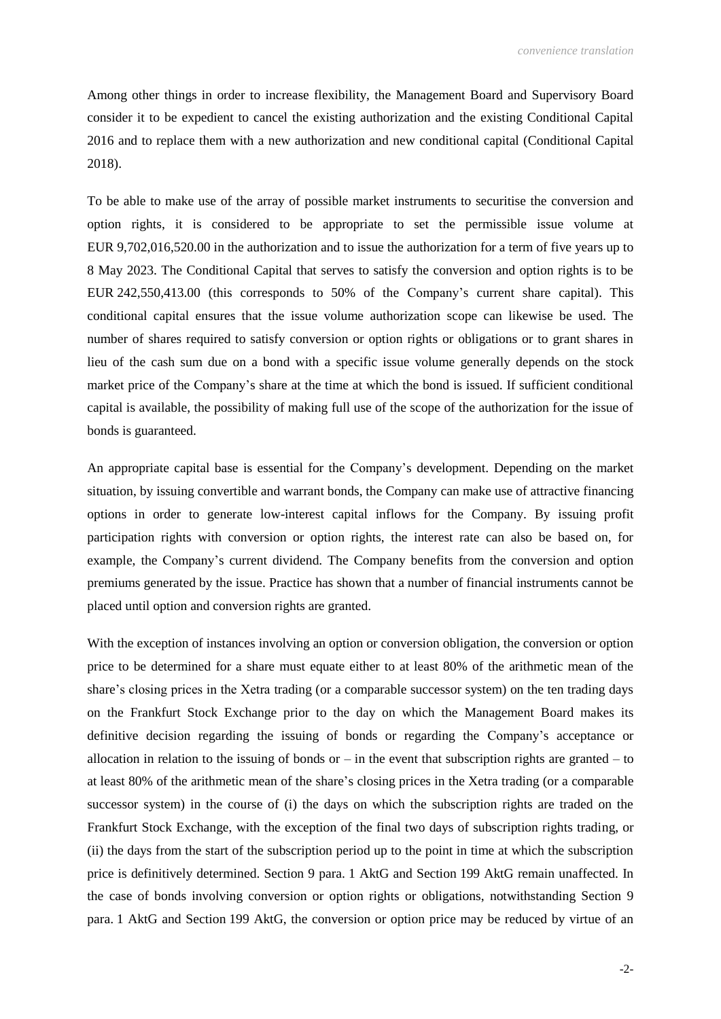Among other things in order to increase flexibility, the Management Board and Supervisory Board consider it to be expedient to cancel the existing authorization and the existing Conditional Capital 2016 and to replace them with a new authorization and new conditional capital (Conditional Capital 2018).

To be able to make use of the array of possible market instruments to securitise the conversion and option rights, it is considered to be appropriate to set the permissible issue volume at EUR 9,702,016,520.00 in the authorization and to issue the authorization for a term of five years up to 8 May 2023. The Conditional Capital that serves to satisfy the conversion and option rights is to be EUR 242,550,413.00 (this corresponds to 50% of the Company's current share capital). This conditional capital ensures that the issue volume authorization scope can likewise be used. The number of shares required to satisfy conversion or option rights or obligations or to grant shares in lieu of the cash sum due on a bond with a specific issue volume generally depends on the stock market price of the Company's share at the time at which the bond is issued. If sufficient conditional capital is available, the possibility of making full use of the scope of the authorization for the issue of bonds is guaranteed.

An appropriate capital base is essential for the Company's development. Depending on the market situation, by issuing convertible and warrant bonds, the Company can make use of attractive financing options in order to generate low-interest capital inflows for the Company. By issuing profit participation rights with conversion or option rights, the interest rate can also be based on, for example, the Company's current dividend. The Company benefits from the conversion and option premiums generated by the issue. Practice has shown that a number of financial instruments cannot be placed until option and conversion rights are granted.

With the exception of instances involving an option or conversion obligation, the conversion or option price to be determined for a share must equate either to at least 80% of the arithmetic mean of the share's closing prices in the Xetra trading (or a comparable successor system) on the ten trading days on the Frankfurt Stock Exchange prior to the day on which the Management Board makes its definitive decision regarding the issuing of bonds or regarding the Company's acceptance or allocation in relation to the issuing of bonds or  $-$  in the event that subscription rights are granted  $-$  to at least 80% of the arithmetic mean of the share's closing prices in the Xetra trading (or a comparable successor system) in the course of (i) the days on which the subscription rights are traded on the Frankfurt Stock Exchange, with the exception of the final two days of subscription rights trading, or (ii) the days from the start of the subscription period up to the point in time at which the subscription price is definitively determined. Section 9 para. 1 AktG and Section 199 AktG remain unaffected. In the case of bonds involving conversion or option rights or obligations, notwithstanding Section 9 para. 1 AktG and Section 199 AktG, the conversion or option price may be reduced by virtue of an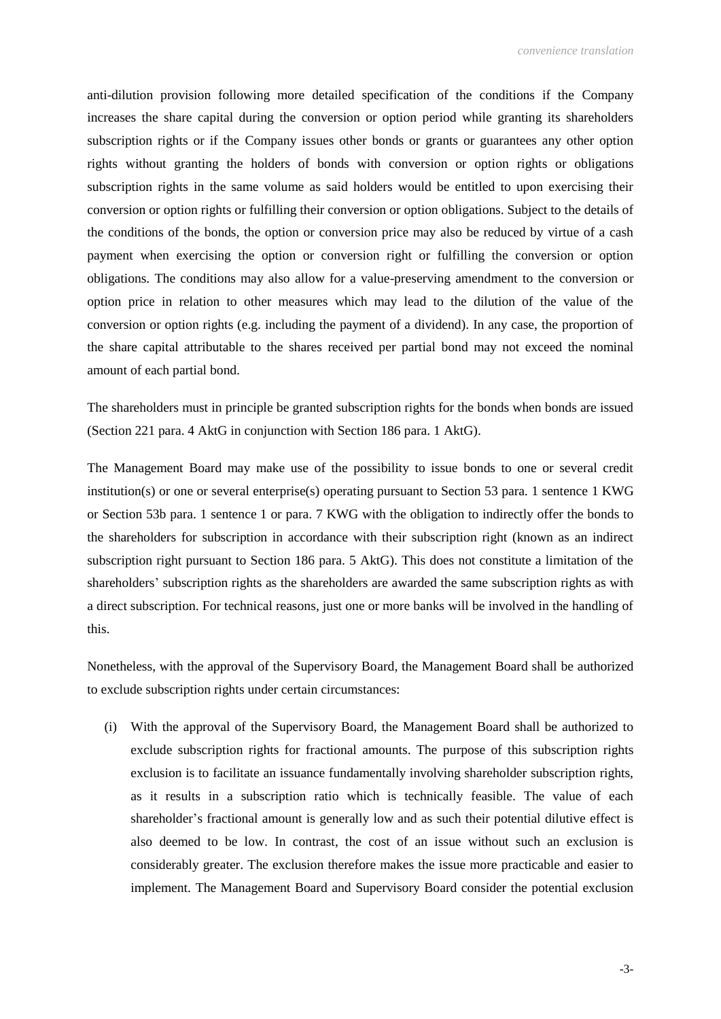anti-dilution provision following more detailed specification of the conditions if the Company increases the share capital during the conversion or option period while granting its shareholders subscription rights or if the Company issues other bonds or grants or guarantees any other option rights without granting the holders of bonds with conversion or option rights or obligations subscription rights in the same volume as said holders would be entitled to upon exercising their conversion or option rights or fulfilling their conversion or option obligations. Subject to the details of the conditions of the bonds, the option or conversion price may also be reduced by virtue of a cash payment when exercising the option or conversion right or fulfilling the conversion or option obligations. The conditions may also allow for a value-preserving amendment to the conversion or option price in relation to other measures which may lead to the dilution of the value of the conversion or option rights (e.g. including the payment of a dividend). In any case, the proportion of the share capital attributable to the shares received per partial bond may not exceed the nominal amount of each partial bond.

The shareholders must in principle be granted subscription rights for the bonds when bonds are issued (Section 221 para. 4 AktG in conjunction with Section 186 para. 1 AktG).

The Management Board may make use of the possibility to issue bonds to one or several credit institution(s) or one or several enterprise(s) operating pursuant to Section 53 para. 1 sentence 1 KWG or Section 53b para. 1 sentence 1 or para. 7 KWG with the obligation to indirectly offer the bonds to the shareholders for subscription in accordance with their subscription right (known as an indirect subscription right pursuant to Section 186 para. 5 AktG). This does not constitute a limitation of the shareholders' subscription rights as the shareholders are awarded the same subscription rights as with a direct subscription. For technical reasons, just one or more banks will be involved in the handling of this.

Nonetheless, with the approval of the Supervisory Board, the Management Board shall be authorized to exclude subscription rights under certain circumstances:

(i) With the approval of the Supervisory Board, the Management Board shall be authorized to exclude subscription rights for fractional amounts. The purpose of this subscription rights exclusion is to facilitate an issuance fundamentally involving shareholder subscription rights, as it results in a subscription ratio which is technically feasible. The value of each shareholder's fractional amount is generally low and as such their potential dilutive effect is also deemed to be low. In contrast, the cost of an issue without such an exclusion is considerably greater. The exclusion therefore makes the issue more practicable and easier to implement. The Management Board and Supervisory Board consider the potential exclusion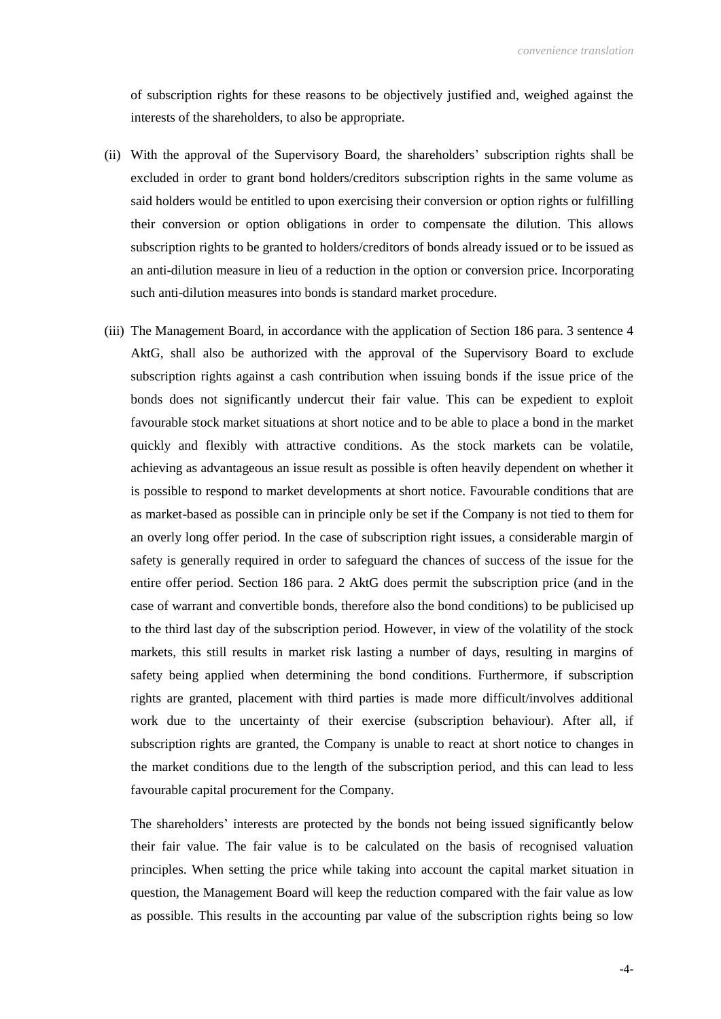of subscription rights for these reasons to be objectively justified and, weighed against the interests of the shareholders, to also be appropriate.

- (ii) With the approval of the Supervisory Board, the shareholders' subscription rights shall be excluded in order to grant bond holders/creditors subscription rights in the same volume as said holders would be entitled to upon exercising their conversion or option rights or fulfilling their conversion or option obligations in order to compensate the dilution. This allows subscription rights to be granted to holders/creditors of bonds already issued or to be issued as an anti-dilution measure in lieu of a reduction in the option or conversion price. Incorporating such anti-dilution measures into bonds is standard market procedure.
- (iii) The Management Board, in accordance with the application of Section 186 para. 3 sentence 4 AktG, shall also be authorized with the approval of the Supervisory Board to exclude subscription rights against a cash contribution when issuing bonds if the issue price of the bonds does not significantly undercut their fair value. This can be expedient to exploit favourable stock market situations at short notice and to be able to place a bond in the market quickly and flexibly with attractive conditions. As the stock markets can be volatile, achieving as advantageous an issue result as possible is often heavily dependent on whether it is possible to respond to market developments at short notice. Favourable conditions that are as market-based as possible can in principle only be set if the Company is not tied to them for an overly long offer period. In the case of subscription right issues, a considerable margin of safety is generally required in order to safeguard the chances of success of the issue for the entire offer period. Section 186 para. 2 AktG does permit the subscription price (and in the case of warrant and convertible bonds, therefore also the bond conditions) to be publicised up to the third last day of the subscription period. However, in view of the volatility of the stock markets, this still results in market risk lasting a number of days, resulting in margins of safety being applied when determining the bond conditions. Furthermore, if subscription rights are granted, placement with third parties is made more difficult/involves additional work due to the uncertainty of their exercise (subscription behaviour). After all, if subscription rights are granted, the Company is unable to react at short notice to changes in the market conditions due to the length of the subscription period, and this can lead to less favourable capital procurement for the Company.

The shareholders' interests are protected by the bonds not being issued significantly below their fair value. The fair value is to be calculated on the basis of recognised valuation principles. When setting the price while taking into account the capital market situation in question, the Management Board will keep the reduction compared with the fair value as low as possible. This results in the accounting par value of the subscription rights being so low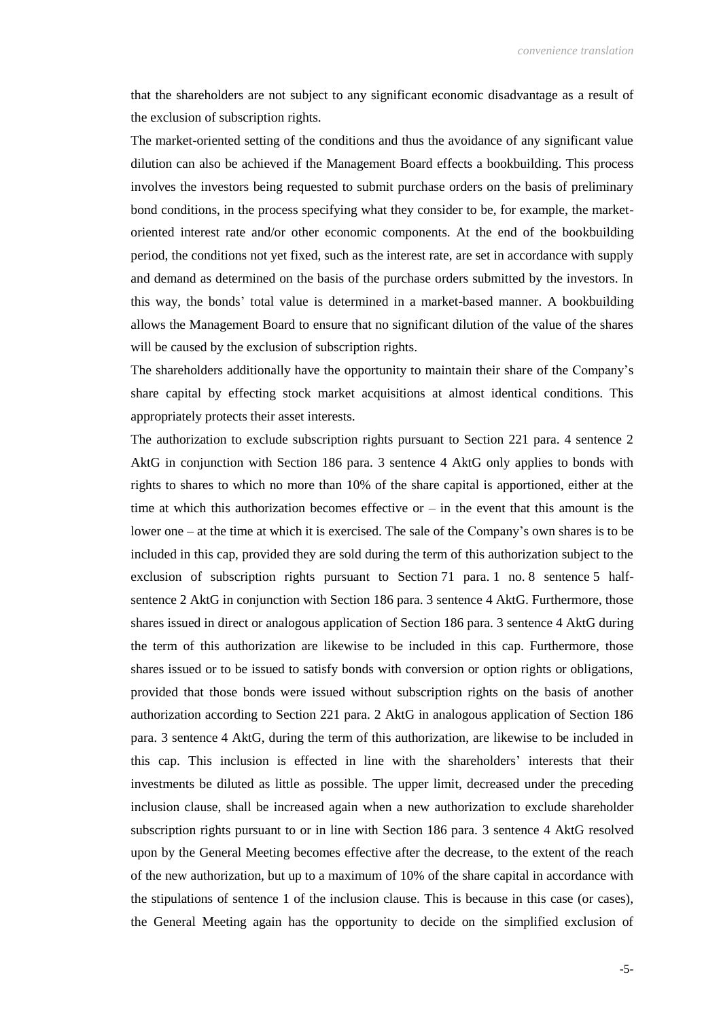that the shareholders are not subject to any significant economic disadvantage as a result of the exclusion of subscription rights.

The market-oriented setting of the conditions and thus the avoidance of any significant value dilution can also be achieved if the Management Board effects a bookbuilding. This process involves the investors being requested to submit purchase orders on the basis of preliminary bond conditions, in the process specifying what they consider to be, for example, the marketoriented interest rate and/or other economic components. At the end of the bookbuilding period, the conditions not yet fixed, such as the interest rate, are set in accordance with supply and demand as determined on the basis of the purchase orders submitted by the investors. In this way, the bonds' total value is determined in a market-based manner. A bookbuilding allows the Management Board to ensure that no significant dilution of the value of the shares will be caused by the exclusion of subscription rights.

The shareholders additionally have the opportunity to maintain their share of the Company's share capital by effecting stock market acquisitions at almost identical conditions. This appropriately protects their asset interests.

The authorization to exclude subscription rights pursuant to Section 221 para. 4 sentence 2 AktG in conjunction with Section 186 para. 3 sentence 4 AktG only applies to bonds with rights to shares to which no more than 10% of the share capital is apportioned, either at the time at which this authorization becomes effective or  $-$  in the event that this amount is the lower one – at the time at which it is exercised. The sale of the Company's own shares is to be included in this cap, provided they are sold during the term of this authorization subject to the exclusion of subscription rights pursuant to Section 71 para. 1 no. 8 sentence 5 halfsentence 2 AktG in conjunction with Section 186 para. 3 sentence 4 AktG. Furthermore, those shares issued in direct or analogous application of Section 186 para. 3 sentence 4 AktG during the term of this authorization are likewise to be included in this cap. Furthermore, those shares issued or to be issued to satisfy bonds with conversion or option rights or obligations, provided that those bonds were issued without subscription rights on the basis of another authorization according to Section 221 para. 2 AktG in analogous application of Section 186 para. 3 sentence 4 AktG, during the term of this authorization, are likewise to be included in this cap. This inclusion is effected in line with the shareholders' interests that their investments be diluted as little as possible. The upper limit, decreased under the preceding inclusion clause, shall be increased again when a new authorization to exclude shareholder subscription rights pursuant to or in line with Section 186 para. 3 sentence 4 AktG resolved upon by the General Meeting becomes effective after the decrease, to the extent of the reach of the new authorization, but up to a maximum of 10% of the share capital in accordance with the stipulations of sentence 1 of the inclusion clause. This is because in this case (or cases), the General Meeting again has the opportunity to decide on the simplified exclusion of

-5-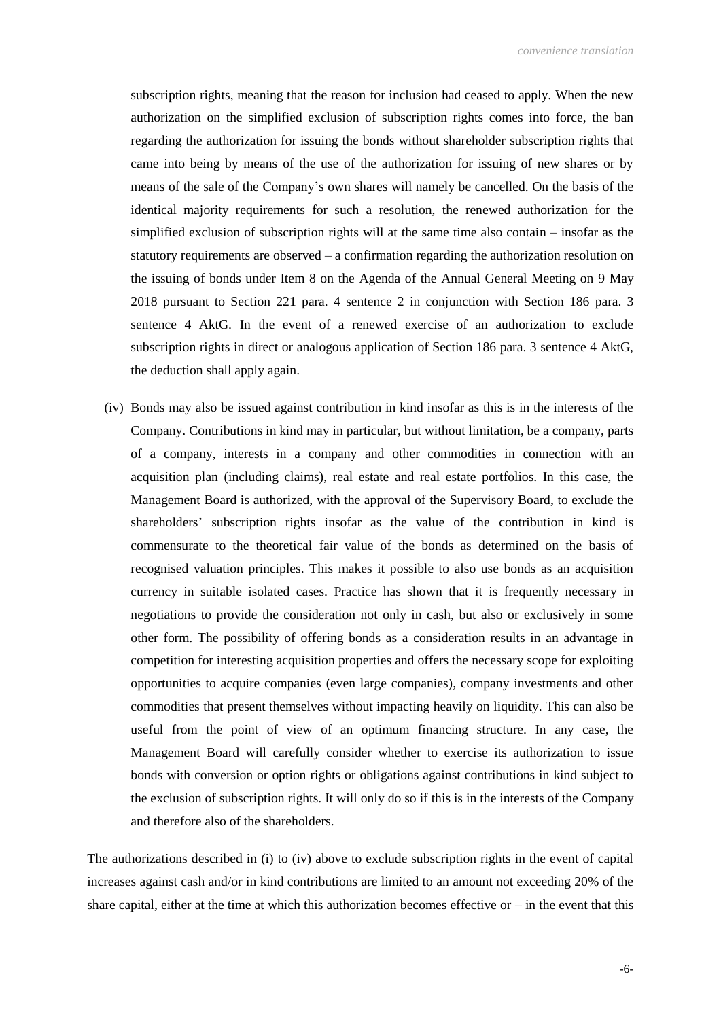subscription rights, meaning that the reason for inclusion had ceased to apply. When the new authorization on the simplified exclusion of subscription rights comes into force, the ban regarding the authorization for issuing the bonds without shareholder subscription rights that came into being by means of the use of the authorization for issuing of new shares or by means of the sale of the Company's own shares will namely be cancelled. On the basis of the identical majority requirements for such a resolution, the renewed authorization for the simplified exclusion of subscription rights will at the same time also contain – insofar as the statutory requirements are observed – a confirmation regarding the authorization resolution on the issuing of bonds under Item 8 on the Agenda of the Annual General Meeting on 9 May 2018 pursuant to Section 221 para. 4 sentence 2 in conjunction with Section 186 para. 3 sentence 4 AktG. In the event of a renewed exercise of an authorization to exclude subscription rights in direct or analogous application of Section 186 para. 3 sentence 4 AktG, the deduction shall apply again.

(iv) Bonds may also be issued against contribution in kind insofar as this is in the interests of the Company. Contributions in kind may in particular, but without limitation, be a company, parts of a company, interests in a company and other commodities in connection with an acquisition plan (including claims), real estate and real estate portfolios. In this case, the Management Board is authorized, with the approval of the Supervisory Board, to exclude the shareholders' subscription rights insofar as the value of the contribution in kind is commensurate to the theoretical fair value of the bonds as determined on the basis of recognised valuation principles. This makes it possible to also use bonds as an acquisition currency in suitable isolated cases. Practice has shown that it is frequently necessary in negotiations to provide the consideration not only in cash, but also or exclusively in some other form. The possibility of offering bonds as a consideration results in an advantage in competition for interesting acquisition properties and offers the necessary scope for exploiting opportunities to acquire companies (even large companies), company investments and other commodities that present themselves without impacting heavily on liquidity. This can also be useful from the point of view of an optimum financing structure. In any case, the Management Board will carefully consider whether to exercise its authorization to issue bonds with conversion or option rights or obligations against contributions in kind subject to the exclusion of subscription rights. It will only do so if this is in the interests of the Company and therefore also of the shareholders.

The authorizations described in (i) to (iv) above to exclude subscription rights in the event of capital increases against cash and/or in kind contributions are limited to an amount not exceeding 20% of the share capital, either at the time at which this authorization becomes effective or  $-$  in the event that this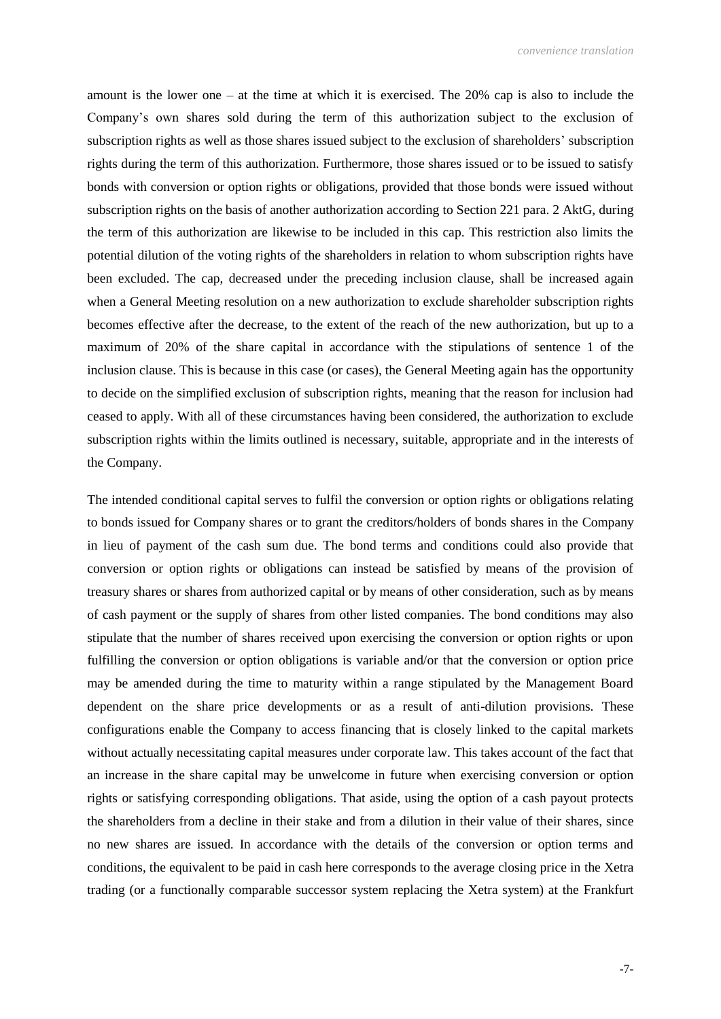amount is the lower one – at the time at which it is exercised. The 20% cap is also to include the Company's own shares sold during the term of this authorization subject to the exclusion of subscription rights as well as those shares issued subject to the exclusion of shareholders' subscription rights during the term of this authorization. Furthermore, those shares issued or to be issued to satisfy bonds with conversion or option rights or obligations, provided that those bonds were issued without subscription rights on the basis of another authorization according to Section 221 para. 2 AktG, during the term of this authorization are likewise to be included in this cap. This restriction also limits the potential dilution of the voting rights of the shareholders in relation to whom subscription rights have been excluded. The cap, decreased under the preceding inclusion clause, shall be increased again when a General Meeting resolution on a new authorization to exclude shareholder subscription rights becomes effective after the decrease, to the extent of the reach of the new authorization, but up to a maximum of 20% of the share capital in accordance with the stipulations of sentence 1 of the inclusion clause. This is because in this case (or cases), the General Meeting again has the opportunity to decide on the simplified exclusion of subscription rights, meaning that the reason for inclusion had ceased to apply. With all of these circumstances having been considered, the authorization to exclude subscription rights within the limits outlined is necessary, suitable, appropriate and in the interests of the Company.

The intended conditional capital serves to fulfil the conversion or option rights or obligations relating to bonds issued for Company shares or to grant the creditors/holders of bonds shares in the Company in lieu of payment of the cash sum due. The bond terms and conditions could also provide that conversion or option rights or obligations can instead be satisfied by means of the provision of treasury shares or shares from authorized capital or by means of other consideration, such as by means of cash payment or the supply of shares from other listed companies. The bond conditions may also stipulate that the number of shares received upon exercising the conversion or option rights or upon fulfilling the conversion or option obligations is variable and/or that the conversion or option price may be amended during the time to maturity within a range stipulated by the Management Board dependent on the share price developments or as a result of anti-dilution provisions. These configurations enable the Company to access financing that is closely linked to the capital markets without actually necessitating capital measures under corporate law. This takes account of the fact that an increase in the share capital may be unwelcome in future when exercising conversion or option rights or satisfying corresponding obligations. That aside, using the option of a cash payout protects the shareholders from a decline in their stake and from a dilution in their value of their shares, since no new shares are issued. In accordance with the details of the conversion or option terms and conditions, the equivalent to be paid in cash here corresponds to the average closing price in the Xetra trading (or a functionally comparable successor system replacing the Xetra system) at the Frankfurt